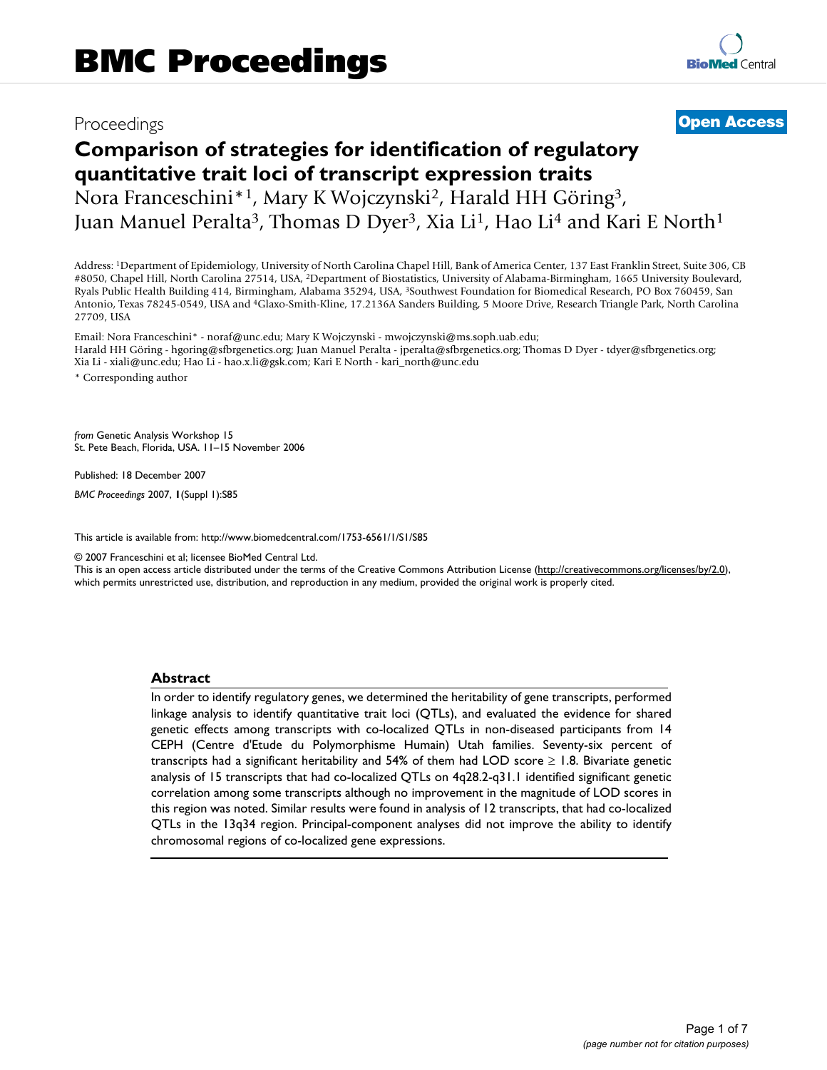# Proceedings **[Open Access](http://www.biomedcentral.com/info/about/charter/)**

# **Comparison of strategies for identification of regulatory quantitative trait loci of transcript expression traits** Nora Franceschini\*1, Mary K Wojczynski2, Harald HH Göring3, Juan Manuel Peralta<sup>3</sup>, Thomas D Dyer<sup>3</sup>, Xia Li<sup>1</sup>, Hao Li<sup>4</sup> and Kari E North<sup>1</sup>

Address: 1Department of Epidemiology, University of North Carolina Chapel Hill, Bank of America Center, 137 East Franklin Street, Suite 306, CB #8050, Chapel Hill, North Carolina 27514, USA, 2Department of Biostatistics, University of Alabama-Birmingham, 1665 University Boulevard, Ryals Public Health Building 414, Birmingham, Alabama 35294, USA, 3Southwest Foundation for Biomedical Research, PO Box 760459, San Antonio, Texas 78245-0549, USA and 4Glaxo-Smith-Kline, 17.2136A Sanders Building, 5 Moore Drive, Research Triangle Park, North Carolina 27709, USA

Email: Nora Franceschini\* - noraf@unc.edu; Mary K Wojczynski - mwojczynski@ms.soph.uab.edu; Harald HH Göring - hgoring@sfbrgenetics.org; Juan Manuel Peralta - jperalta@sfbrgenetics.org; Thomas D Dyer - tdyer@sfbrgenetics.org; Xia Li - xiali@unc.edu; Hao Li - hao.x.li@gsk.com; Kari E North - kari\_north@unc.edu \* Corresponding author

*from* Genetic Analysis Workshop 15 St. Pete Beach, Florida, USA. 11–15 November 2006

Published: 18 December 2007

*BMC Proceedings* 2007, **1**(Suppl 1):S85

[This article is available from: http://www.biomedcentral.com/1753-6561/1/S1/S85](http://www.biomedcentral.com/1753-6561/1/S1/S85)

© 2007 Franceschini et al; licensee BioMed Central Ltd.

This is an open access article distributed under the terms of the Creative Commons Attribution License [\(http://creativecommons.org/licenses/by/2.0\)](http://creativecommons.org/licenses/by/2.0), which permits unrestricted use, distribution, and reproduction in any medium, provided the original work is properly cited.

#### **Abstract**

In order to identify regulatory genes, we determined the heritability of gene transcripts, performed linkage analysis to identify quantitative trait loci (QTLs), and evaluated the evidence for shared genetic effects among transcripts with co-localized QTLs in non-diseased participants from 14 CEPH (Centre d'Etude du Polymorphisme Humain) Utah families. Seventy-six percent of transcripts had a significant heritability and 54% of them had LOD score  $\geq$  1.8. Bivariate genetic analysis of 15 transcripts that had co-localized QTLs on 4q28.2-q31.1 identified significant genetic correlation among some transcripts although no improvement in the magnitude of LOD scores in this region was noted. Similar results were found in analysis of 12 transcripts, that had co-localized QTLs in the 13q34 region. Principal-component analyses did not improve the ability to identify chromosomal regions of co-localized gene expressions.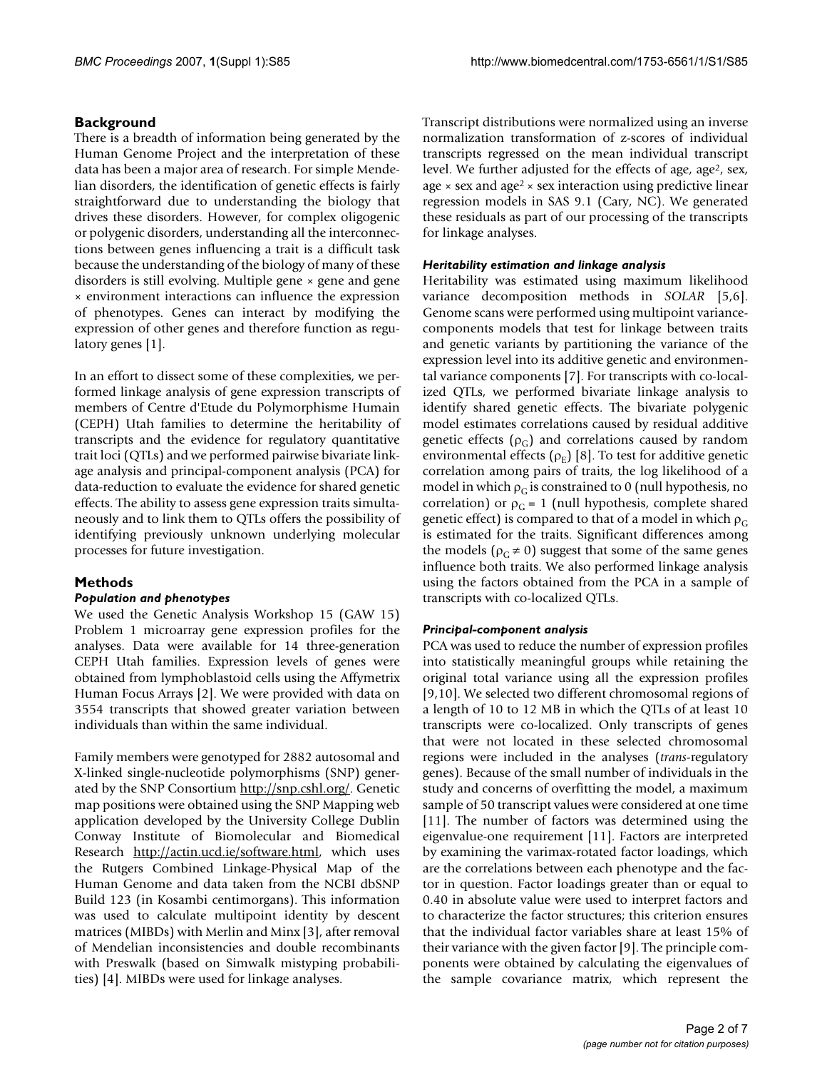# **Background**

There is a breadth of information being generated by the Human Genome Project and the interpretation of these data has been a major area of research. For simple Mendelian disorders, the identification of genetic effects is fairly straightforward due to understanding the biology that drives these disorders. However, for complex oligogenic or polygenic disorders, understanding all the interconnections between genes influencing a trait is a difficult task because the understanding of the biology of many of these disorders is still evolving. Multiple gene × gene and gene × environment interactions can influence the expression of phenotypes. Genes can interact by modifying the expression of other genes and therefore function as regulatory genes [1].

In an effort to dissect some of these complexities, we performed linkage analysis of gene expression transcripts of members of Centre d'Etude du Polymorphisme Humain (CEPH) Utah families to determine the heritability of transcripts and the evidence for regulatory quantitative trait loci (QTLs) and we performed pairwise bivariate linkage analysis and principal-component analysis (PCA) for data-reduction to evaluate the evidence for shared genetic effects. The ability to assess gene expression traits simultaneously and to link them to QTLs offers the possibility of identifying previously unknown underlying molecular processes for future investigation.

# **Methods**

# *Population and phenotypes*

We used the Genetic Analysis Workshop 15 (GAW 15) Problem 1 microarray gene expression profiles for the analyses. Data were available for 14 three-generation CEPH Utah families. Expression levels of genes were obtained from lymphoblastoid cells using the Affymetrix Human Focus Arrays [2]. We were provided with data on 3554 transcripts that showed greater variation between individuals than within the same individual.

Family members were genotyped for 2882 autosomal and X-linked single-nucleotide polymorphisms (SNP) generated by the SNP Consortium <http://snp.cshl.org/>. Genetic map positions were obtained using the SNP Mapping web application developed by the University College Dublin Conway Institute of Biomolecular and Biomedical Research <http://actin.ucd.ie/software.html>, which uses the Rutgers Combined Linkage-Physical Map of the Human Genome and data taken from the NCBI dbSNP Build 123 (in Kosambi centimorgans). This information was used to calculate multipoint identity by descent matrices (MIBDs) with Merlin and Minx [3], after removal of Mendelian inconsistencies and double recombinants with Preswalk (based on Simwalk mistyping probabilities) [4]. MIBDs were used for linkage analyses.

Transcript distributions were normalized using an inverse normalization transformation of z-scores of individual transcripts regressed on the mean individual transcript level. We further adjusted for the effects of age, age<sup>2</sup>, sex, age  $\times$  sex and age<sup>2</sup>  $\times$  sex interaction using predictive linear regression models in SAS 9.1 (Cary, NC). We generated these residuals as part of our processing of the transcripts for linkage analyses.

### *Heritability estimation and linkage analysis*

Heritability was estimated using maximum likelihood variance decomposition methods in *SOLAR* [5,6]. Genome scans were performed using multipoint variancecomponents models that test for linkage between traits and genetic variants by partitioning the variance of the expression level into its additive genetic and environmental variance components [7]. For transcripts with co-localized QTLs, we performed bivariate linkage analysis to identify shared genetic effects. The bivariate polygenic model estimates correlations caused by residual additive genetic effects  $(\rho_C)$  and correlations caused by random environmental effects  $(\rho_{\rm E})$  [8]. To test for additive genetic correlation among pairs of traits, the log likelihood of a model in which  $\rho_G$  is constrained to 0 (null hypothesis, no correlation) or  $\rho_G = 1$  (null hypothesis, complete shared genetic effect) is compared to that of a model in which  $\rho_G$ is estimated for the traits. Significant differences among the models ( $\rho_c \neq 0$ ) suggest that some of the same genes influence both traits. We also performed linkage analysis using the factors obtained from the PCA in a sample of transcripts with co-localized QTLs.

# *Principal-component analysis*

PCA was used to reduce the number of expression profiles into statistically meaningful groups while retaining the original total variance using all the expression profiles [9,10]. We selected two different chromosomal regions of a length of 10 to 12 MB in which the QTLs of at least 10 transcripts were co-localized. Only transcripts of genes that were not located in these selected chromosomal regions were included in the analyses (*trans*-regulatory genes). Because of the small number of individuals in the study and concerns of overfitting the model, a maximum sample of 50 transcript values were considered at one time [11]. The number of factors was determined using the eigenvalue-one requirement [11]. Factors are interpreted by examining the varimax-rotated factor loadings, which are the correlations between each phenotype and the factor in question. Factor loadings greater than or equal to 0.40 in absolute value were used to interpret factors and to characterize the factor structures; this criterion ensures that the individual factor variables share at least 15% of their variance with the given factor [9]. The principle components were obtained by calculating the eigenvalues of the sample covariance matrix, which represent the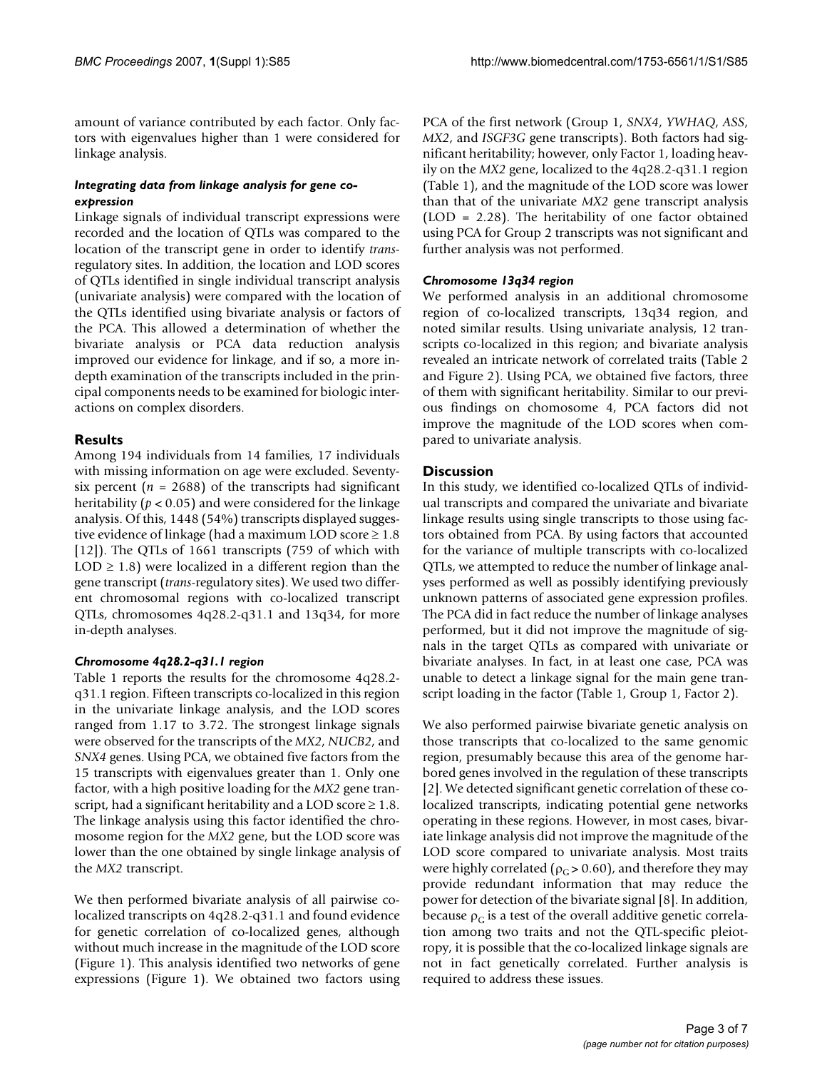amount of variance contributed by each factor. Only factors with eigenvalues higher than 1 were considered for linkage analysis.

### *Integrating data from linkage analysis for gene coexpression*

Linkage signals of individual transcript expressions were recorded and the location of QTLs was compared to the location of the transcript gene in order to identify *trans*regulatory sites. In addition, the location and LOD scores of QTLs identified in single individual transcript analysis (univariate analysis) were compared with the location of the QTLs identified using bivariate analysis or factors of the PCA. This allowed a determination of whether the bivariate analysis or PCA data reduction analysis improved our evidence for linkage, and if so, a more indepth examination of the transcripts included in the principal components needs to be examined for biologic interactions on complex disorders.

# **Results**

Among 194 individuals from 14 families, 17 individuals with missing information on age were excluded. Seventysix percent  $(n = 2688)$  of the transcripts had significant heritability ( $p < 0.05$ ) and were considered for the linkage analysis. Of this, 1448 (54%) transcripts displayed suggestive evidence of linkage (had a maximum LOD score  $\geq 1.8$ [12]). The QTLs of 1661 transcripts (759 of which with  $LOD \geq 1.8$ ) were localized in a different region than the gene transcript (*trans*-regulatory sites). We used two different chromosomal regions with co-localized transcript QTLs, chromosomes 4q28.2-q31.1 and 13q34, for more in-depth analyses.

#### *Chromosome 4q28.2-q31.1 region*

Table 1 reports the results for the chromosome 4q28.2 q31.1 region. Fifteen transcripts co-localized in this region in the univariate linkage analysis, and the LOD scores ranged from 1.17 to 3.72. The strongest linkage signals were observed for the transcripts of the *MX2*, *NUCB2*, and *SNX4* genes. Using PCA, we obtained five factors from the 15 transcripts with eigenvalues greater than 1. Only one factor, with a high positive loading for the *MX2* gene transcript, had a significant heritability and a LOD score  $\geq 1.8$ . The linkage analysis using this factor identified the chromosome region for the *MX2* gene, but the LOD score was lower than the one obtained by single linkage analysis of the *MX2* transcript.

We then performed bivariate analysis of all pairwise colocalized transcripts on 4q28.2-q31.1 and found evidence for genetic correlation of co-localized genes, although without much increase in the magnitude of the LOD score (Figure 1). This analysis identified two networks of gene expressions (Figure 1). We obtained two factors using PCA of the first network (Group 1, *SNX4*, *YWHAQ*, *ASS*, *MX2*, and *ISGF3G* gene transcripts). Both factors had significant heritability; however, only Factor 1, loading heavily on the *MX2* gene, localized to the 4q28.2-q31.1 region (Table 1), and the magnitude of the LOD score was lower than that of the univariate *MX2* gene transcript analysis (LOD = 2.28). The heritability of one factor obtained using PCA for Group 2 transcripts was not significant and further analysis was not performed.

### *Chromosome 13q34 region*

We performed analysis in an additional chromosome region of co-localized transcripts, 13q34 region, and noted similar results. Using univariate analysis, 12 transcripts co-localized in this region; and bivariate analysis revealed an intricate network of correlated traits (Table 2 and Figure 2). Using PCA, we obtained five factors, three of them with significant heritability. Similar to our previous findings on chomosome 4, PCA factors did not improve the magnitude of the LOD scores when compared to univariate analysis.

### **Discussion**

In this study, we identified co-localized QTLs of individual transcripts and compared the univariate and bivariate linkage results using single transcripts to those using factors obtained from PCA. By using factors that accounted for the variance of multiple transcripts with co-localized QTLs, we attempted to reduce the number of linkage analyses performed as well as possibly identifying previously unknown patterns of associated gene expression profiles. The PCA did in fact reduce the number of linkage analyses performed, but it did not improve the magnitude of signals in the target QTLs as compared with univariate or bivariate analyses. In fact, in at least one case, PCA was unable to detect a linkage signal for the main gene transcript loading in the factor (Table 1, Group 1, Factor 2).

We also performed pairwise bivariate genetic analysis on those transcripts that co-localized to the same genomic region, presumably because this area of the genome harbored genes involved in the regulation of these transcripts [2]. We detected significant genetic correlation of these colocalized transcripts, indicating potential gene networks operating in these regions. However, in most cases, bivariate linkage analysis did not improve the magnitude of the LOD score compared to univariate analysis. Most traits were highly correlated ( $\rho_c > 0.60$ ), and therefore they may provide redundant information that may reduce the power for detection of the bivariate signal [8]. In addition, because  $\rho_c$  is a test of the overall additive genetic correlation among two traits and not the QTL-specific pleiotropy, it is possible that the co-localized linkage signals are not in fact genetically correlated. Further analysis is required to address these issues.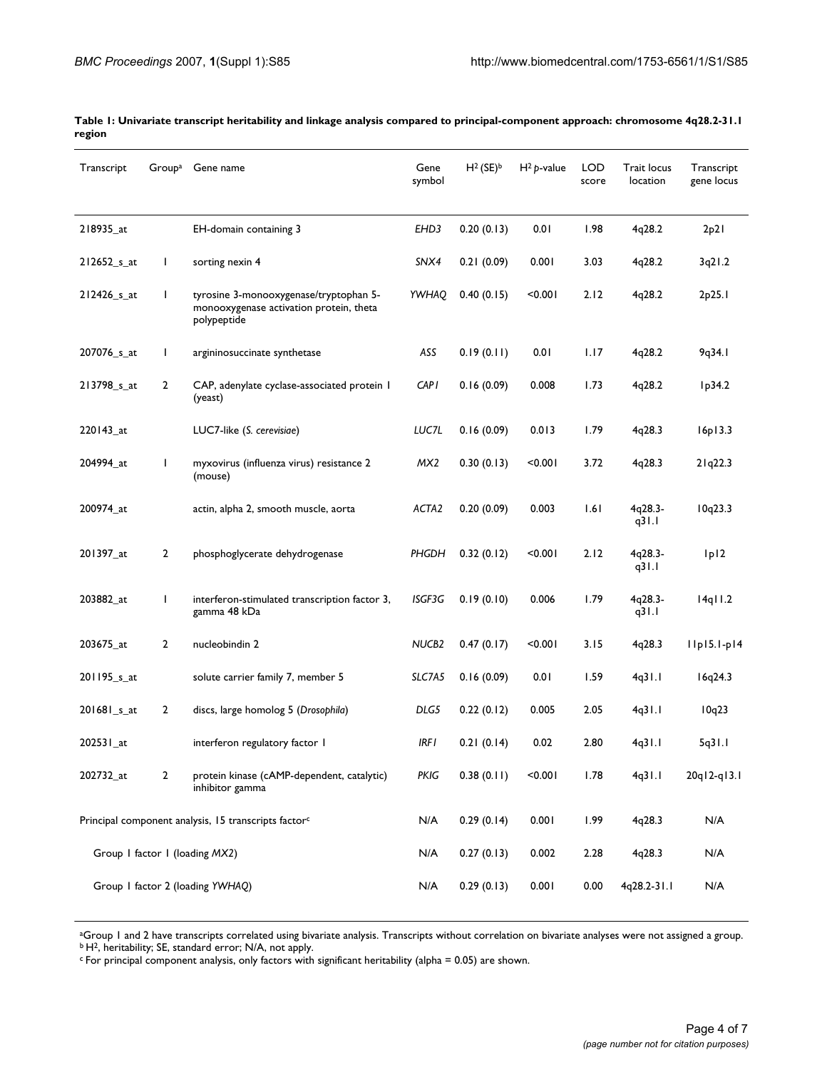| Transcript                                                       | Group <sup>a</sup> | Gene name                                                                                        | Gene<br>symbol    | $H^2$ (SE) <sup>b</sup> | $H^2 p$ -value | <b>LOD</b><br>score | Trait locus<br>location | Transcript<br>gene locus |
|------------------------------------------------------------------|--------------------|--------------------------------------------------------------------------------------------------|-------------------|-------------------------|----------------|---------------------|-------------------------|--------------------------|
| 218935_at                                                        |                    | EH-domain containing 3                                                                           | EHD3              | 0.20(0.13)              | 0.01           | 1.98                | 4q28.2                  | 2p21                     |
| 212652_s_at                                                      | $\mathbf{I}$       | sorting nexin 4                                                                                  | SNX4              | 0.21(0.09)              | 0.001          | 3.03                | 4q28.2                  | 3q21.2                   |
| 212426 s at                                                      | $\mathbf{I}$       | tyrosine 3-monooxygenase/tryptophan 5-<br>monooxygenase activation protein, theta<br>polypeptide | YWHAQ             | 0.40(0.15)              | < 0.001        | 2.12                | 4q28.2                  | 2p25.1                   |
| 207076_s_at                                                      | $\mathbf{I}$       | argininosuccinate synthetase                                                                     | ASS               | 0.19(0.11)              | 0.01           | 1.17                | 4q28.2                  | 9q34.1                   |
| 213798_s_at                                                      | $\overline{2}$     | CAP, adenylate cyclase-associated protein I<br>(yeast)                                           | <b>CAP1</b>       | 0.16(0.09)              | 0.008          | 1.73                | 4q28.2                  | lp34.2                   |
| 220143_at                                                        |                    | LUC7-like (S. cerevisiae)                                                                        | LUC7L             | 0.16(0.09)              | 0.013          | 1.79                | 4q28.3                  | 16p13.3                  |
| 204994_at                                                        | $\mathbf{I}$       | myxovirus (influenza virus) resistance 2<br>(mouse)                                              | MX <sub>2</sub>   | 0.30(0.13)              | < 0.001        | 3.72                | 4q28.3                  | 21q22.3                  |
| 200974_at                                                        |                    | actin, alpha 2, smooth muscle, aorta                                                             | ACTA2             | 0.20(0.09)              | 0.003          | 1.61                | 4q28.3-<br>q31.1        | 10q23.3                  |
| 201397_at                                                        | $\overline{2}$     | phosphoglycerate dehydrogenase                                                                   | PHGDH             | 0.32(0.12)              | < 0.001        | 2.12                | 4q28.3-<br>q $31.1$     | 1p12                     |
| 203882_at                                                        | L                  | interferon-stimulated transcription factor 3,<br>gamma 48 kDa                                    | ISGF3G            | 0.19(0.10)              | 0.006          | 1.79                | 4q28.3-<br>q31.1        | $14q$ $11.2$             |
| 203675_at                                                        | 2                  | nucleobindin 2                                                                                   | NUCB <sub>2</sub> | 0.47(0.17)              | < 0.001        | 3.15                | 4q28.3                  | $I$ Ipi5.I-pi4           |
| 201195_s_at                                                      |                    | solute carrier family 7, member 5                                                                | SLC7A5            | 0.16(0.09)              | 0.01           | 1.59                | 4q31.1                  | 16q24.3                  |
| 201681_s_at                                                      | 2                  | discs, large homolog 5 (Drosophila)                                                              | DLG5              | 0.22(0.12)              | 0.005          | 2.05                | 4q31.1                  | 10q23                    |
| 202531_at                                                        |                    | interferon regulatory factor I                                                                   | IRF I             | 0.21(0.14)              | 0.02           | 2.80                | 4q31.1                  | 5q31.1                   |
| 202732_at                                                        | 2                  | protein kinase (cAMP-dependent, catalytic)<br>inhibitor gamma                                    | PKIG              | 0.38(0.11)              | < 0.001        | 1.78                | 4q31.1                  | 20q12-q13.1              |
| Principal component analysis, 15 transcripts factor <sup>c</sup> |                    | N/A                                                                                              | 0.29(0.14)        | 0.001                   | 1.99           | 4q28.3              | N/A                     |                          |
| Group I factor I (loading MX2)                                   |                    |                                                                                                  | N/A               | 0.27(0.13)              | 0.002          | 2.28                | 4q28.3                  | N/A                      |
| Group I factor 2 (loading YWHAQ)                                 |                    | N/A                                                                                              | 0.29(0.13)        | 0.001                   | 0.00           | 4q28.2-31.1         | N/A                     |                          |

**Table 1: Univariate transcript heritability and linkage analysis compared to principal-component approach: chromosome 4q28.2-31.1 region**

aGroup 1 and 2 have transcripts correlated using bivariate analysis. Transcripts without correlation on bivariate analyses were not assigned a group. b H2, heritability; SE, standard error; N/A, not apply.

c For principal component analysis, only factors with significant heritability (alpha = 0.05) are shown.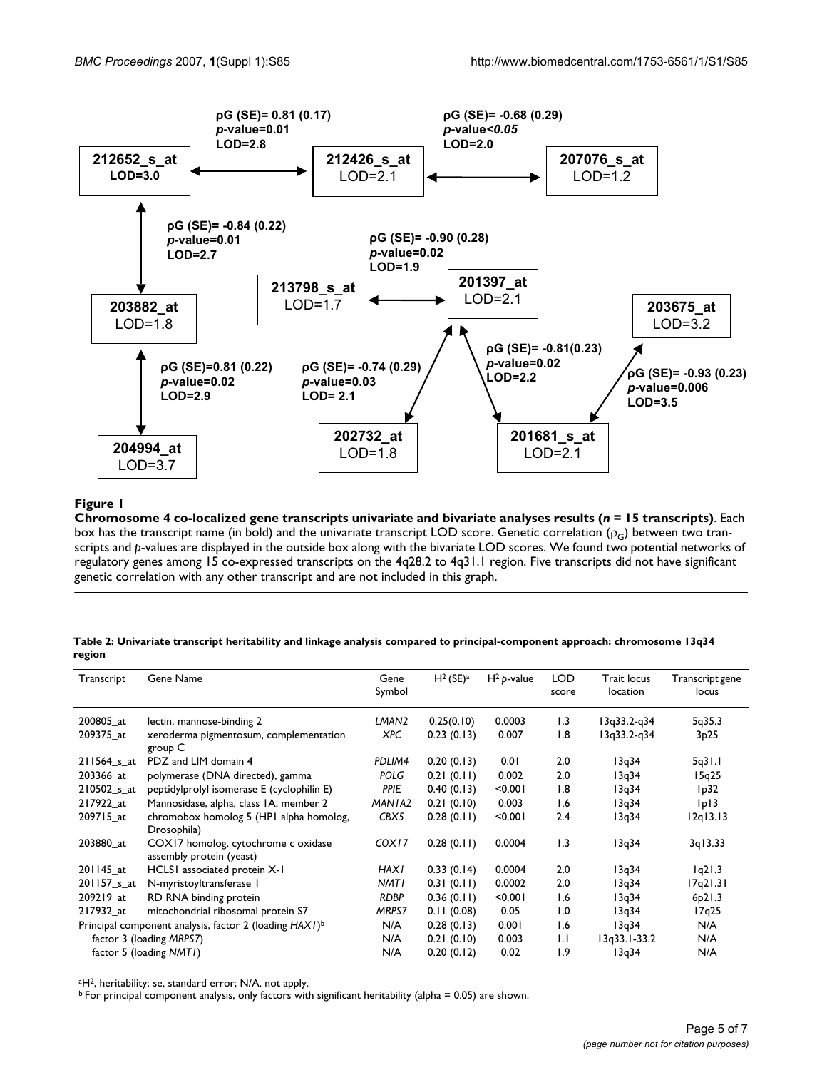

# Chromosome 4 co-localized ge **Figure 1** ne transcripts univariate and bivariate analyses results (*n* = 15 transcripts)

**Chromosome 4 co-localized gene transcripts univariate and bivariate analyses results (***n* **= 15 transcripts)**. Each box has the transcript name (in bold) and the univariate transcript LOD score. Genetic correlation ( $\rho_G$ ) between two transcripts and *p*-values are displayed in the outside box along with the bivariate LOD scores. We found two potential networks of regulatory genes among 15 co-expressed transcripts on the 4q28.2 to 4q31.1 region. Five transcripts did not have significant genetic correlation with any other transcript and are not included in this graph.

| Table 2: Univariate transcript heritability and linkage analysis compared to principal-component approach: chromosome 13q34 |  |  |
|-----------------------------------------------------------------------------------------------------------------------------|--|--|
| region                                                                                                                      |  |  |

| Transcript                                                         | Gene Name                                                       | Gene        | $H^2$ (SE) <sup>a</sup> | $H^2 p$ -value | <b>LOD</b>       | <b>Trait locus</b> | Transcript gene |
|--------------------------------------------------------------------|-----------------------------------------------------------------|-------------|-------------------------|----------------|------------------|--------------------|-----------------|
|                                                                    |                                                                 | Symbol      |                         |                | score            | location           | locus           |
|                                                                    |                                                                 |             |                         |                |                  |                    |                 |
| 200805 at                                                          | lectin, mannose-binding 2                                       | LMAN2       | 0.25(0.10)              | 0.0003         | 1.3              | $13q33.2-q34$      | 5q35.3          |
| 209375 at                                                          | xeroderma pigmentosum, complementation<br>group C               | XPC         | 0.23(0.13)              | 0.007          | 1.8              | 13q33.2-q34        | 3p25            |
| $211564$ s at                                                      | PDZ and LIM domain 4                                            | PDLIM4      | 0.20(0.13)              | 0.01           | 2.0              | 13q34              | 5q31.1          |
| 203366 at                                                          | polymerase (DNA directed), gamma                                | <b>POLG</b> | 0.21(0.11)              | 0.002          | 2.0              | 13q34              | 15q25           |
| 210502_s_at                                                        | peptidylprolyl isomerase E (cyclophilin E)                      | <b>PPIE</b> | 0.40(0.13)              | < 0.001        | $\overline{1.8}$ | 13q34              | lp32            |
| 217922 at                                                          | Mannosidase, alpha, class IA, member 2                          | MANIA2      | 0.21(0.10)              | 0.003          | 1.6              | 13q34              | p               |
| 209715 at                                                          | chromobox homolog 5 (HPI alpha homolog,<br>Drosophila)          | CBX5        | 0.28(0.11)              | < 0.001        | 2.4              | 13q34              | 12q13.13        |
| 203880 at                                                          | COX17 homolog, cytochrome c oxidase<br>assembly protein (yeast) | COX17       | 0.28(0.11)              | 0.0004         | $\overline{1.3}$ | 13q34              | 3q13.33         |
| 201145 at                                                          | HCLS1 associated protein X-1                                    | <b>HAX1</b> | 0.33(0.14)              | 0.0004         | 2.0              | 13q34              | 1q21.3          |
| 201157 <sub>_S_at</sub>                                            | N-myristoyltransferase I                                        | NMTI        | 0.31(0.11)              | 0.0002         | 2.0              | 13q34              | 17q21.31        |
| 209219 at                                                          | RD RNA binding protein                                          | <b>RDBP</b> | 0.36(0.11)              | < 0.001        | 1.6              | 13q34              | 6p21.3          |
| 217932 at                                                          | mitochondrial ribosomal protein S7                              | MRPS7       | 0.11(0.08)              | 0.05           | 1.0              | 13q34              | 17q25           |
| Principal component analysis, factor 2 (loading HAX1) <sup>b</sup> |                                                                 | N/A         | 0.28(0.13)              | 0.001          | 1.6              | 13q34              | N/A             |
| factor 3 (loading MRPS7)                                           |                                                                 | N/A         | 0.21(0.10)              | 0.003          | 1.1              | I3q33.I-33.2       | N/A             |
| factor 5 (loading NMTI)                                            |                                                                 | N/A         | 0.20(0.12)              | 0.02           | $\overline{1.9}$ | 13q34              | N/A             |

aH2, heritability; se, standard error; N/A, not apply.

b For principal component analysis, only factors with significant heritability (alpha = 0.05) are shown.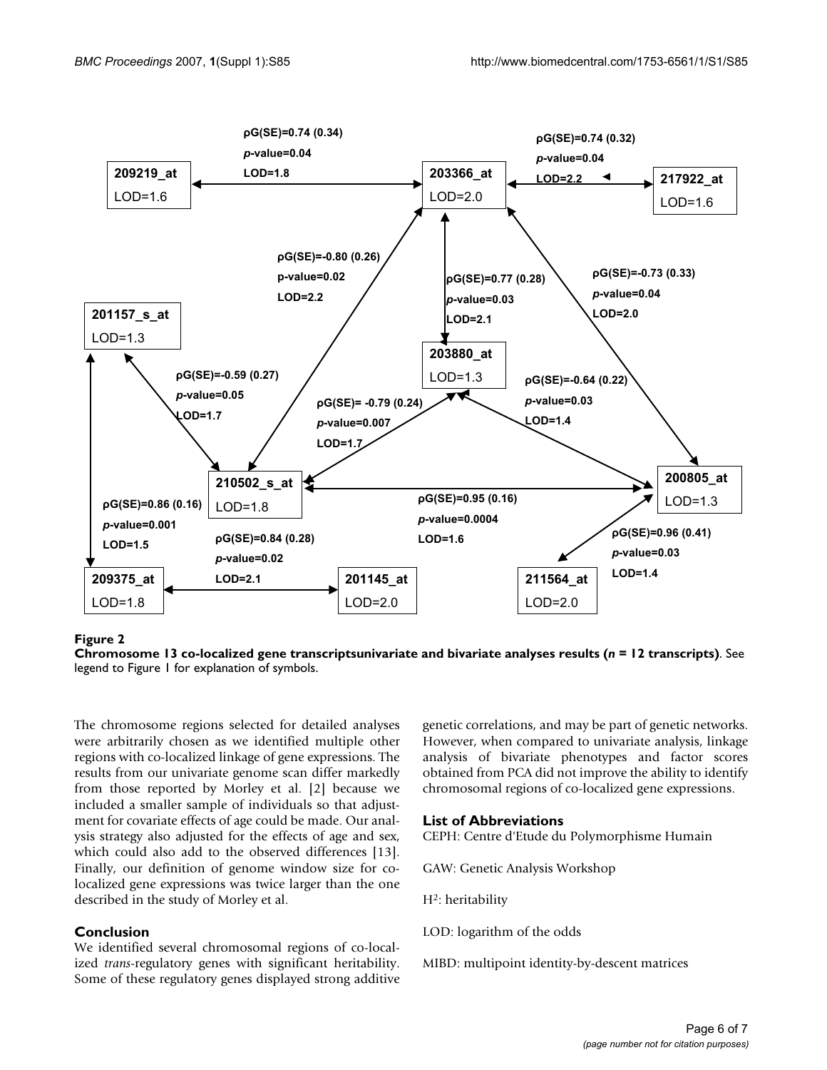

# Chromosome 13 co-localized gene transcripts **Figure 2** univariate and bivariate analyses results (*n* = 12 transcripts)

**Chromosome 13 co-localized gene transcriptsunivariate and bivariate analyses results (***n* **= 12 transcripts)**. See legend to Figure 1 for explanation of symbols.

The chromosome regions selected for detailed analyses were arbitrarily chosen as we identified multiple other regions with co-localized linkage of gene expressions. The results from our univariate genome scan differ markedly from those reported by Morley et al. [2] because we included a smaller sample of individuals so that adjustment for covariate effects of age could be made. Our analysis strategy also adjusted for the effects of age and sex, which could also add to the observed differences [13]. Finally, our definition of genome window size for colocalized gene expressions was twice larger than the one described in the study of Morley et al.

# **Conclusion**

We identified several chromosomal regions of co-localized *trans*-regulatory genes with significant heritability. Some of these regulatory genes displayed strong additive genetic correlations, and may be part of genetic networks. However, when compared to univariate analysis, linkage analysis of bivariate phenotypes and factor scores obtained from PCA did not improve the ability to identify chromosomal regions of co-localized gene expressions.

# **List of Abbreviations**

CEPH: Centre d'Etude du Polymorphisme Humain

GAW: Genetic Analysis Workshop

H<sup>2</sup>: heritability

LOD: logarithm of the odds

MIBD: multipoint identity-by-descent matrices